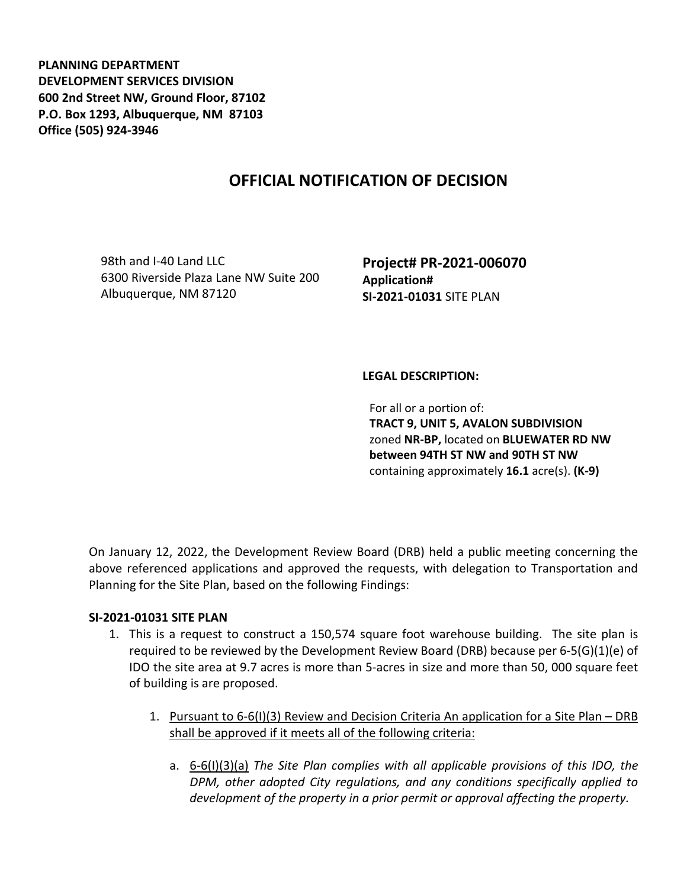**PLANNING DEPARTMENT DEVELOPMENT SERVICES DIVISION 600 2nd Street NW, Ground Floor, 87102 P.O. Box 1293, Albuquerque, NM 87103 Office (505) 924-3946** 

## **OFFICIAL NOTIFICATION OF DECISION**

98th and I-40 Land LLC 6300 Riverside Plaza Lane NW Suite 200 Albuquerque, NM 87120

**Project# PR-2021-006070 Application# SI-2021-01031** SITE PLAN

## **LEGAL DESCRIPTION:**

For all or a portion of: **TRACT 9, UNIT 5, AVALON SUBDIVISION**  zoned **NR-BP,** located on **BLUEWATER RD NW between 94TH ST NW and 90TH ST NW**  containing approximately **16.1** acre(s). **(K-9)** 

On January 12, 2022, the Development Review Board (DRB) held a public meeting concerning the above referenced applications and approved the requests, with delegation to Transportation and Planning for the Site Plan, based on the following Findings:

## **SI-2021-01031 SITE PLAN**

- 1. This is a request to construct a 150,574 square foot warehouse building. The site plan is required to be reviewed by the Development Review Board (DRB) because per 6-5(G)(1)(e) of IDO the site area at 9.7 acres is more than 5-acres in size and more than 50, 000 square feet of building is are proposed.
	- 1. Pursuant to 6-6(I)(3) Review and Decision Criteria An application for a Site Plan DRB shall be approved if it meets all of the following criteria:
		- a. 6-6(I)(3)(a) *The Site Plan complies with all applicable provisions of this IDO, the DPM, other adopted City regulations, and any conditions specifically applied to development of the property in a prior permit or approval affecting the property.*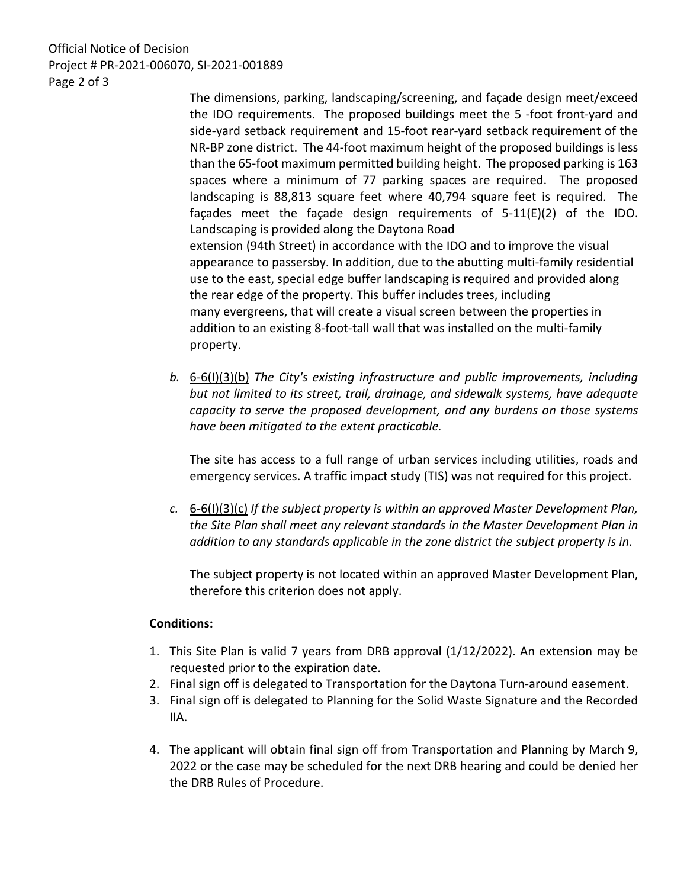Official Notice of Decision Project # PR-2021-006070, SI-2021-001889 Page 2 of 3

> The dimensions, parking, landscaping/screening, and façade design meet/exceed the IDO requirements. The proposed buildings meet the 5 -foot front-yard and side-yard setback requirement and 15-foot rear-yard setback requirement of the NR-BP zone district. The 44-foot maximum height of the proposed buildings is less than the 65-foot maximum permitted building height. The proposed parking is 163 spaces where a minimum of 77 parking spaces are required. The proposed landscaping is 88,813 square feet where 40,794 square feet is required. The façades meet the façade design requirements of 5-11(E)(2) of the IDO. Landscaping is provided along the Daytona Road extension (94th Street) in accordance with the IDO and to improve the visual appearance to passersby. In addition, due to the abutting multi-family residential use to the east, special edge buffer landscaping is required and provided along the rear edge of the property. This buffer includes trees, including many evergreens, that will create a visual screen between the properties in addition to an existing 8-foot-tall wall that was installed on the multi-family property.

*b.* 6-6(I)(3)(b) *The City's existing infrastructure and public improvements, including but not limited to its street, trail, drainage, and sidewalk systems, have adequate capacity to serve the proposed development, and any burdens on those systems have been mitigated to the extent practicable.* 

The site has access to a full range of urban services including utilities, roads and emergency services. A traffic impact study (TIS) was not required for this project.

*c.* 6-6(I)(3)(c) *If the subject property is within an approved Master Development Plan, the Site Plan shall meet any relevant standards in the Master Development Plan in addition to any standards applicable in the zone district the subject property is in.*

The subject property is not located within an approved Master Development Plan, therefore this criterion does not apply.

## **Conditions:**

- 1. This Site Plan is valid 7 years from DRB approval (1/12/2022). An extension may be requested prior to the expiration date.
- 2. Final sign off is delegated to Transportation for the Daytona Turn-around easement.
- 3. Final sign off is delegated to Planning for the Solid Waste Signature and the Recorded IIA.
- 4. The applicant will obtain final sign off from Transportation and Planning by March 9, 2022 or the case may be scheduled for the next DRB hearing and could be denied her the DRB Rules of Procedure.